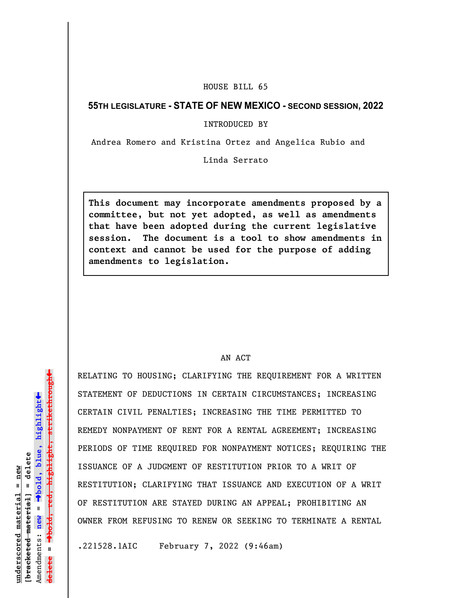## HOUSE BILL 65

## **55TH LEGISLATURE - STATE OF NEW MEXICO - SECOND SESSION, 2022**

INTRODUCED BY

Andrea Romero and Kristina Ortez and Angelica Rubio and

Linda Serrato

**This document may incorporate amendments proposed by a committee, but not yet adopted, as well as amendments that have been adopted during the current legislative session. The document is a tool to show amendments in context and cannot be used for the purpose of adding amendments to legislation.**

## AN ACT

RELATING TO HOUSING; CLARIFYING THE REQUIREMENT FOR A WRITTEN STATEMENT OF DEDUCTIONS IN CERTAIN CIRCUMSTANCES; INCREASING CERTAIN CIVIL PENALTIES; INCREASING THE TIME PERMITTED TO REMEDY NONPAYMENT OF RENT FOR A RENTAL AGREEMENT; INCREASING PERIODS OF TIME REQUIRED FOR NONPAYMENT NOTICES; REQUIRING THE ISSUANCE OF A JUDGMENT OF RESTITUTION PRIOR TO A WRIT OF RESTITUTION; CLARIFYING THAT ISSUANCE AND EXECUTION OF A WRIT OF RESTITUTION ARE STAYED DURING AN APPEAL; PROHIBITING AN OWNER FROM REFUSING TO RENEW OR SEEKING TO TERMINATE A RENTAL

.221528.1AIC February 7, 2022 (9:46am)

 $\ddag$ º**bold, red, highlight, strikethrough**  $\ddot{\bullet}$ º**bold, blue, highlight**  $b$ racketed material] = delete **[bracketed material] = delete** inderscored material = new **underscored material = new** Amendments: **new** =  $\mathbf{u}$ **delete =** lelete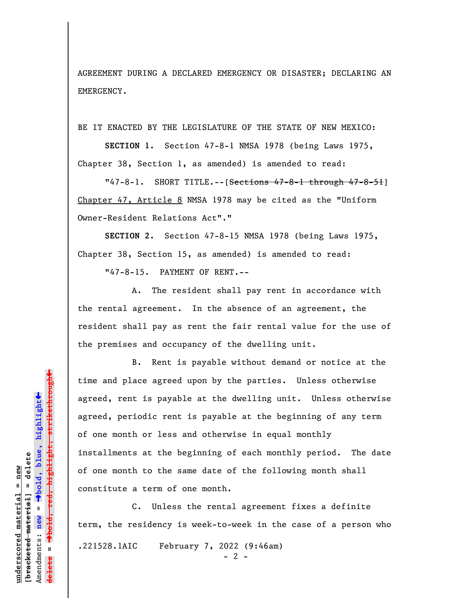AGREEMENT DURING A DECLARED EMERGENCY OR DISASTER; DECLARING AN EMERGENCY.

BE IT ENACTED BY THE LEGISLATURE OF THE STATE OF NEW MEXICO:

**SECTION 1.** Section 47-8-1 NMSA 1978 (being Laws 1975, Chapter 38, Section 1, as amended) is amended to read:

"47-8-1. SHORT TITLE.-- [Sections 47-8-1 through 47-8-51] Chapter 47, Article 8 NMSA 1978 may be cited as the "Uniform Owner-Resident Relations Act"."

**SECTION 2.** Section 47-8-15 NMSA 1978 (being Laws 1975, Chapter 38, Section 15, as amended) is amended to read:

"47-8-15. PAYMENT OF RENT.--

A. The resident shall pay rent in accordance with the rental agreement. In the absence of an agreement, the resident shall pay as rent the fair rental value for the use of the premises and occupancy of the dwelling unit.

B. Rent is payable without demand or notice at the time and place agreed upon by the parties. Unless otherwise agreed, rent is payable at the dwelling unit. Unless otherwise agreed, periodic rent is payable at the beginning of any term of one month or less and otherwise in equal monthly installments at the beginning of each monthly period. The date of one month to the same date of the following month shall constitute a term of one month.

C. Unless the rental agreement fixes a definite term, the residency is week-to-week in the case of a person who .221528.1AIC February 7, 2022 (9:46am)

 $- 2 -$ 

 $\ddag$ º**bold, red, highlight, strikethrough**  $\ddot{\bullet}$ º**bold, blue, highlight** bracketed material] = delete **[bracketed material] = delete** mderscored material = new **underscored material = new** Amendments: **new** =  $\bar{\mathbf{u}}$ Amendments: new **delete =**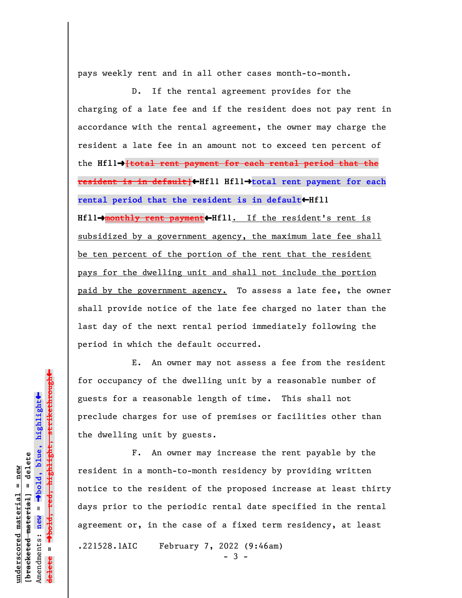pays weekly rent and in all other cases month-to-month.

D. If the rental agreement provides for the charging of a late fee and if the resident does not pay rent in accordance with the rental agreement, the owner may charge the resident a late fee in an amount not to exceed ten percent of the **Hfl1**º**[total rent payment for each rental period that the resident is in default]**»**Hfl1 Hfl1**º**total rent payment for each** rental period that the resident is in default<br/>**Hfll Hfl1**º**monthly rent payment**»**Hfl1**. If the resident's rent is subsidized by a government agency, the maximum late fee shall be ten percent of the portion of the rent that the resident pays for the dwelling unit and shall not include the portion paid by the government agency. To assess a late fee, the owner shall provide notice of the late fee charged no later than the last day of the next rental period immediately following the period in which the default occurred.

E. An owner may not assess a fee from the resident for occupancy of the dwelling unit by a reasonable number of guests for a reasonable length of time. This shall not preclude charges for use of premises or facilities other than the dwelling unit by guests.

F. An owner may increase the rent payable by the resident in a month-to-month residency by providing written notice to the resident of the proposed increase at least thirty days prior to the periodic rental date specified in the rental agreement or, in the case of a fixed term residency, at least .221528.1AIC February 7, 2022 (9:46am) - 3 -

 $\ddag$ º**bold, red, highlight, strikethrough**  $\ddot{\bullet}$ º**bold, blue, highlight** bracketed material] = delete **[bracketed material] = delete** inderscored material = new **underscored material = new** Amendments: **new** = Amendments: new =  $\mathbf{I}$ **delete =** lelete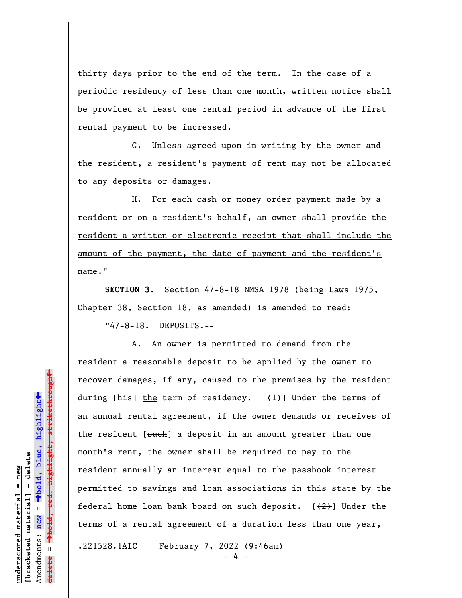thirty days prior to the end of the term. In the case of a periodic residency of less than one month, written notice shall be provided at least one rental period in advance of the first rental payment to be increased.

G. Unless agreed upon in writing by the owner and the resident, a resident's payment of rent may not be allocated to any deposits or damages.

H. For each cash or money order payment made by a resident or on a resident's behalf, an owner shall provide the resident a written or electronic receipt that shall include the amount of the payment, the date of payment and the resident's name."

**SECTION 3.** Section 47-8-18 NMSA 1978 (being Laws 1975, Chapter 38, Section 18, as amended) is amended to read:

"47-8-18. DEPOSITS.--

A. An owner is permitted to demand from the resident a reasonable deposit to be applied by the owner to recover damages, if any, caused to the premises by the resident during  $[\frac{h}{h}$  the term of residency.  $[\frac{h}{h}]$  Under the terms of an annual rental agreement, if the owner demands or receives of the resident [such] a deposit in an amount greater than one month's rent, the owner shall be required to pay to the resident annually an interest equal to the passbook interest permitted to savings and loan associations in this state by the federal home loan bank board on such deposit.  $[2]$  Under the terms of a rental agreement of a duration less than one year,

.221528.1AIC February 7, 2022 (9:46am)

- 4 -

 $\ddag$ º**bold, red, highlight, strikethrough**  $\ddot{\bullet}$ º**bold, blue, highlight** bracketed material] = delete **[bracketed material] = delete** inderscored material = new **underscored material = new** Amendments: **new** =  $\mathbf{u}$ Amendments: new **delete =**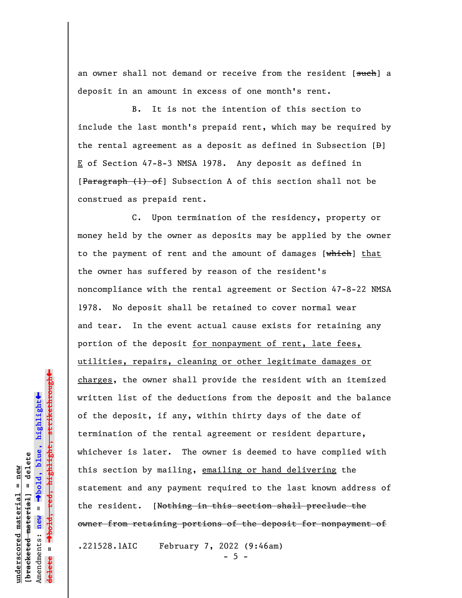an owner shall not demand or receive from the resident [such] a deposit in an amount in excess of one month's rent.

B. It is not the intention of this section to include the last month's prepaid rent, which may be required by the rental agreement as a deposit as defined in Subsection  $[\frac{B}{C}]$ E of Section 47-8-3 NMSA 1978. Any deposit as defined in  $[$ Paragraph  $(1)$  of  $]$  Subsection A of this section shall not be construed as prepaid rent.

C. Upon termination of the residency, property or money held by the owner as deposits may be applied by the owner to the payment of rent and the amount of damages  $[whieh]$  that the owner has suffered by reason of the resident's noncompliance with the rental agreement or Section 47-8-22 NMSA 1978. No deposit shall be retained to cover normal wear and tear. In the event actual cause exists for retaining any portion of the deposit for nonpayment of rent, late fees, utilities, repairs, cleaning or other legitimate damages or charges, the owner shall provide the resident with an itemized written list of the deductions from the deposit and the balance of the deposit, if any, within thirty days of the date of termination of the rental agreement or resident departure, whichever is later. The owner is deemed to have complied with this section by mailing, emailing or hand delivering the statement and any payment required to the last known address of the resident. [Nothing in this section shall preclude the owner from retaining portions of the deposit for nonpayment of .221528.1AIC February 7, 2022 (9:46am)

 $- 5 -$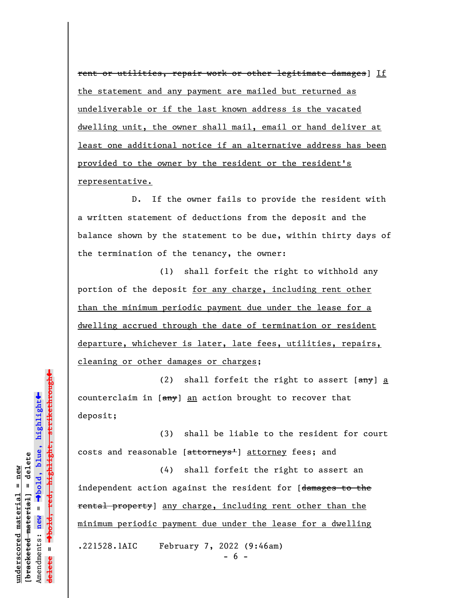rent or utilities, repair work or other legitimate damages] If the statement and any payment are mailed but returned as undeliverable or if the last known address is the vacated dwelling unit, the owner shall mail, email or hand deliver at least one additional notice if an alternative address has been provided to the owner by the resident or the resident's representative.

D. If the owner fails to provide the resident with a written statement of deductions from the deposit and the balance shown by the statement to be due, within thirty days of the termination of the tenancy, the owner:

(1) shall forfeit the right to withhold any portion of the deposit for any charge, including rent other than the minimum periodic payment due under the lease for a dwelling accrued through the date of termination or resident departure, whichever is later, late fees, utilities, repairs, cleaning or other damages or charges;

(2) shall forfeit the right to assert  $[3.80]$  a counterclaim in  $[\frac{amy}{2}]$  an action brought to recover that deposit;

(3) shall be liable to the resident for court costs and reasonable [attorneys<sup>1</sup>] attorney fees; and

(4) shall forfeit the right to assert an independent action against the resident for [damages to the rental property] any charge, including rent other than the minimum periodic payment due under the lease for a dwelling .221528.1AIC February 7, 2022 (9:46am)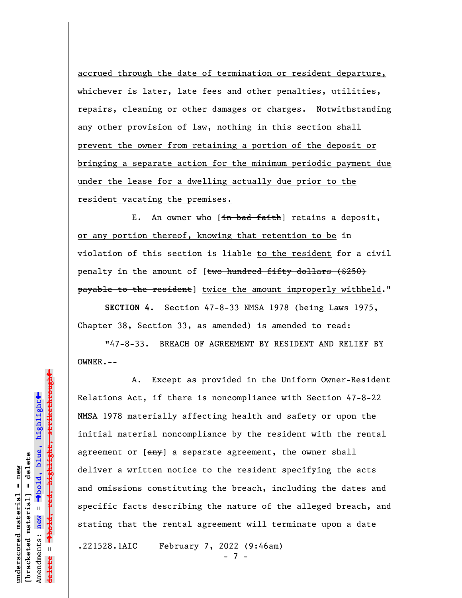accrued through the date of termination or resident departure, whichever is later, late fees and other penalties, utilities, repairs, cleaning or other damages or charges. Notwithstanding any other provision of law, nothing in this section shall prevent the owner from retaining a portion of the deposit or bringing a separate action for the minimum periodic payment due under the lease for a dwelling actually due prior to the resident vacating the premises.

E. An owner who  $[\frac{in \text{ bad faith}}{in \text{ width}}]$  retains a deposit, or any portion thereof, knowing that retention to be in violation of this section is liable to the resident for a civil penalty in the amount of [two hundred fifty dollars (\$250) payable to the resident] twice the amount improperly withheld."

**SECTION 4.** Section 47-8-33 NMSA 1978 (being Laws 1975, Chapter 38, Section 33, as amended) is amended to read:

"47-8-33. BREACH OF AGREEMENT BY RESIDENT AND RELIEF BY OWNER.--

A. Except as provided in the Uniform Owner-Resident Relations Act, if there is noncompliance with Section 47-8-22 NMSA 1978 materially affecting health and safety or upon the initial material noncompliance by the resident with the rental agreement or  $[\frac{any}{2}]$  a separate agreement, the owner shall deliver a written notice to the resident specifying the acts and omissions constituting the breach, including the dates and specific facts describing the nature of the alleged breach, and stating that the rental agreement will terminate upon a date

.221528.1AIC February 7, 2022 (9:46am)

 $- 7 -$ 

 $\ddag$ º**bold, red, highlight, strikethrough**  $\ddot{\bullet}$ º**bold, blue, highlight** bracketed material] = delete **[bracketed material] = delete** inderscored material = new **underscored material = new** Amendments: **new** =  $\bar{\mathbf{u}}$ Amendments: new **delete =**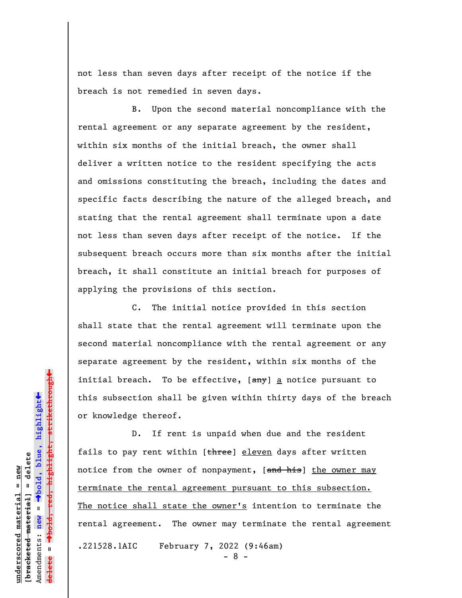not less than seven days after receipt of the notice if the breach is not remedied in seven days.

B. Upon the second material noncompliance with the rental agreement or any separate agreement by the resident, within six months of the initial breach, the owner shall deliver a written notice to the resident specifying the acts and omissions constituting the breach, including the dates and specific facts describing the nature of the alleged breach, and stating that the rental agreement shall terminate upon a date not less than seven days after receipt of the notice. If the subsequent breach occurs more than six months after the initial breach, it shall constitute an initial breach for purposes of applying the provisions of this section.

C. The initial notice provided in this section shall state that the rental agreement will terminate upon the second material noncompliance with the rental agreement or any separate agreement by the resident, within six months of the initial breach. To be effective, [any] a notice pursuant to this subsection shall be given within thirty days of the breach or knowledge thereof.

D. If rent is unpaid when due and the resident fails to pay rent within [three] eleven days after written notice from the owner of nonpayment, [and his] the owner may terminate the rental agreement pursuant to this subsection. The notice shall state the owner's intention to terminate the rental agreement. The owner may terminate the rental agreement .221528.1AIC February 7, 2022 (9:46am)

 $- 8 -$ 

 $\ddag$ º**bold, red, highlight, strikethrough**  $\ddot{\bullet}$ º**bold, blue, highlight** bracketed material] = delete **[bracketed material] = delete** inderscored material = new **underscored material = new** Amendments: **new** =  $\bar{\mathbf{u}}$ Amendments: new **delete =**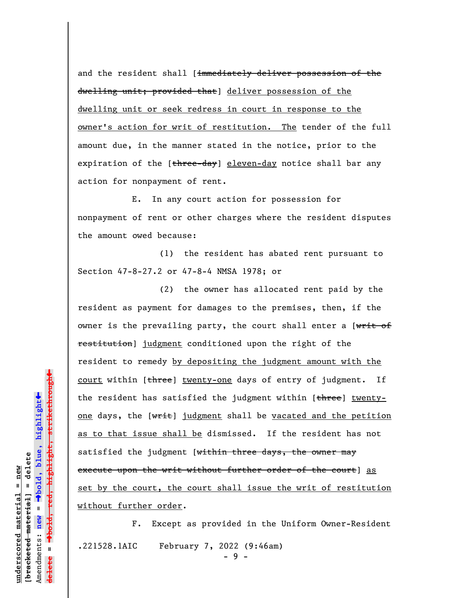and the resident shall [immediately deliver possession of the dwelling unit; provided that] deliver possession of the dwelling unit or seek redress in court in response to the owner's action for writ of restitution. The tender of the full amount due, in the manner stated in the notice, prior to the expiration of the [three-day] eleven-day notice shall bar any action for nonpayment of rent.

E. In any court action for possession for nonpayment of rent or other charges where the resident disputes the amount owed because:

(1) the resident has abated rent pursuant to Section 47-8-27.2 or 47-8-4 NMSA 1978; or

(2) the owner has allocated rent paid by the resident as payment for damages to the premises, then, if the owner is the prevailing party, the court shall enter a [writ of restitution] judgment conditioned upon the right of the resident to remedy by depositing the judgment amount with the court within [three] twenty-one days of entry of judgment. If the resident has satisfied the judgment within [three] twentyone days, the  $[\overline{w\text{fit}}]$  judgment shall be vacated and the petition as to that issue shall be dismissed. If the resident has not satisfied the judgment [within three days, the owner may execute upon the writ without further order of the court] as set by the court, the court shall issue the writ of restitution without further order.

F. Except as provided in the Uniform Owner-Resident .221528.1AIC February 7, 2022 (9:46am)  $-9 -$ 

º**bold, red, highlight, strikethrough**  $\ddot{\bullet}$ º**bold, blue, highlight** bracketed material] = delete **[bracketed material] = delete** inderscored material = new **underscored material = new** Amendments: **new** =  $\bar{\mathbf{u}}$ Amendments: new **delete =**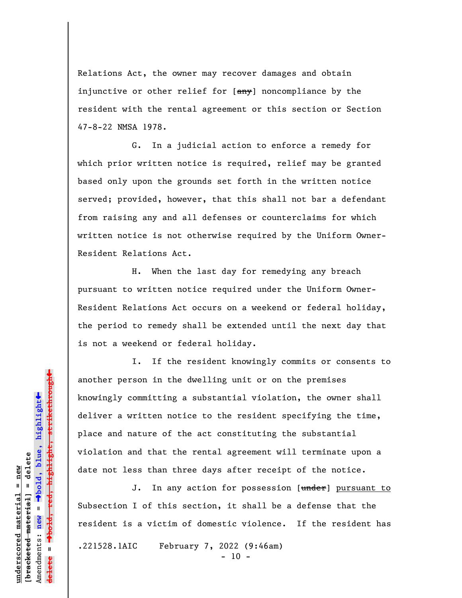Relations Act, the owner may recover damages and obtain injunctive or other relief for [any] noncompliance by the resident with the rental agreement or this section or Section 47-8-22 NMSA 1978.

G. In a judicial action to enforce a remedy for which prior written notice is required, relief may be granted based only upon the grounds set forth in the written notice served; provided, however, that this shall not bar a defendant from raising any and all defenses or counterclaims for which written notice is not otherwise required by the Uniform Owner-Resident Relations Act.

H. When the last day for remedying any breach pursuant to written notice required under the Uniform Owner-Resident Relations Act occurs on a weekend or federal holiday, the period to remedy shall be extended until the next day that is not a weekend or federal holiday.

I. If the resident knowingly commits or consents to another person in the dwelling unit or on the premises knowingly committing a substantial violation, the owner shall deliver a written notice to the resident specifying the time, place and nature of the act constituting the substantial violation and that the rental agreement will terminate upon a date not less than three days after receipt of the notice.

J. In any action for possession [under] pursuant to Subsection I of this section, it shall be a defense that the resident is a victim of domestic violence. If the resident has .221528.1AIC February 7, 2022 (9:46am)  $- 10 -$ 

 $\ddag$ º**bold, red, highlight, strikethrough**  $\ddot{\bullet}$ º**bold, blue, highlight** bracketed material] = delete **[bracketed material] = delete** inderscored material = new **underscored material = new** Amendments: **new** =  $\bar{\mathbf{u}}$ Amendments: new **delete =**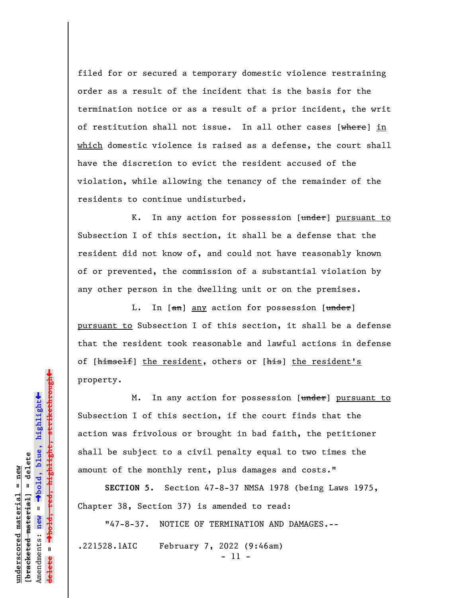filed for or secured a temporary domestic violence restraining order as a result of the incident that is the basis for the termination notice or as a result of a prior incident, the writ of restitution shall not issue. In all other cases [where] in which domestic violence is raised as a defense, the court shall have the discretion to evict the resident accused of the violation, while allowing the tenancy of the remainder of the residents to continue undisturbed.

K. In any action for possession [under] pursuant to Subsection I of this section, it shall be a defense that the resident did not know of, and could not have reasonably known of or prevented, the commission of a substantial violation by any other person in the dwelling unit or on the premises.

L. In [an] any action for possession [under] pursuant to Subsection I of this section, it shall be a defense that the resident took reasonable and lawful actions in defense of [himself] the resident, others or [his] the resident's property.

M. In any action for possession [under] pursuant to Subsection I of this section, if the court finds that the action was frivolous or brought in bad faith, the petitioner shall be subject to a civil penalty equal to two times the amount of the monthly rent, plus damages and costs."

**SECTION 5.** Section 47-8-37 NMSA 1978 (being Laws 1975, Chapter 38, Section 37) is amended to read:

"47-8-37. NOTICE OF TERMINATION AND DAMAGES.--

.221528.1AIC February 7, 2022 (9:46am) - 11 -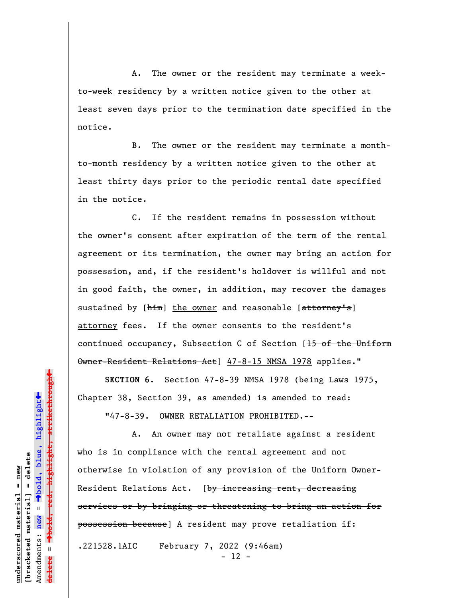A. The owner or the resident may terminate a weekto-week residency by a written notice given to the other at least seven days prior to the termination date specified in the notice.

B. The owner or the resident may terminate a monthto-month residency by a written notice given to the other at least thirty days prior to the periodic rental date specified in the notice.

C. If the resident remains in possession without the owner's consent after expiration of the term of the rental agreement or its termination, the owner may bring an action for possession, and, if the resident's holdover is willful and not in good faith, the owner, in addition, may recover the damages sustained by [him] the owner and reasonable [attorney's] attorney fees. If the owner consents to the resident's continued occupancy, Subsection C of Section [15 of the Uniform Owner-Resident Relations Act] 47-8-15 NMSA 1978 applies."

**SECTION 6.** Section 47-8-39 NMSA 1978 (being Laws 1975, Chapter 38, Section 39, as amended) is amended to read:

"47-8-39. OWNER RETALIATION PROHIBITED.--

A. An owner may not retaliate against a resident who is in compliance with the rental agreement and not otherwise in violation of any provision of the Uniform Owner-Resident Relations Act. [by increasing rent, decreasing services or by bringing or threatening to bring an action for possession because] A resident may prove retaliation if:

.221528.1AIC February 7, 2022 (9:46am) - 12 -

º**bold, red, highlight, strikethrough**  $\ddot{\bullet}$ º**bold, blue, highlight** bracketed material] = delete **[bracketed material] = delete** mderscored material = new **underscored material = new** Amendments: **new** =  $\bar{\mathbf{u}}$ Amendments: new **delete =**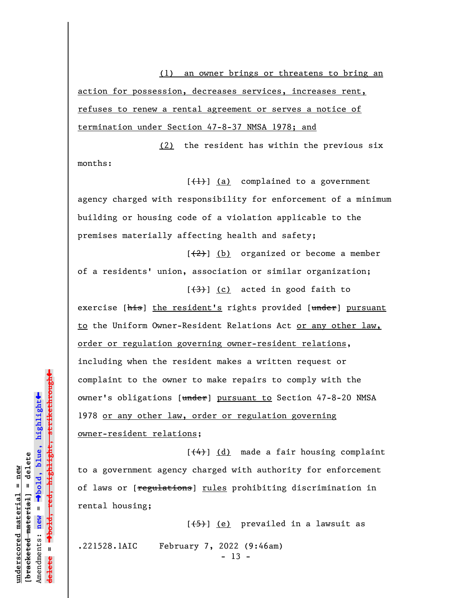(1) an owner brings or threatens to bring an action for possession, decreases services, increases rent, refuses to renew a rental agreement or serves a notice of termination under Section 47-8-37 NMSA 1978; and

(2) the resident has within the previous six months:

 $[\frac{1}{1}]$  (a) complained to a government agency charged with responsibility for enforcement of a minimum building or housing code of a violation applicable to the premises materially affecting health and safety;

 $[\frac{2}{2}]$  (b) organized or become a member of a residents' union, association or similar organization;  $[\frac{(3)}{2}]$  (c) acted in good faith to

exercise [his] the resident's rights provided [under] pursuant to the Uniform Owner-Resident Relations Act or any other law, order or regulation governing owner-resident relations, including when the resident makes a written request or complaint to the owner to make repairs to comply with the owner's obligations [under] pursuant to Section 47-8-20 NMSA 1978 or any other law, order or regulation governing owner-resident relations;

 $[\frac{(4)}{4}]$  (d) made a fair housing complaint to a government agency charged with authority for enforcement of laws or [regulations] rules prohibiting discrimination in rental housing;

 $[$ ( $\leftarrow$   $\leftarrow$   $\leftarrow$   $\leftarrow$   $\leftarrow$   $\leftarrow$   $\leftarrow$   $\leftarrow$   $\leftarrow$   $\leftarrow$   $\leftarrow$   $\leftarrow$   $\leftarrow$   $\leftarrow$   $\leftarrow$   $\leftarrow$   $\leftarrow$   $\leftarrow$   $\leftarrow$   $\leftarrow$   $\leftarrow$   $\leftarrow$   $\leftarrow$   $\leftarrow$   $\leftarrow$   $\leftarrow$   $\leftarrow$   $\leftarrow$   $\leftarrow$   $\leftarrow$   $\leftarrow$   $\leftarrow$   $\leftarrow$   $\leftarrow$   $\leftarrow$   $\leftarrow$  .221528.1AIC February 7, 2022 (9:46am)  $- 13 -$ 

 $\ddag$ º**bold, red, highlight, strikethrough**  $\ddot{\bullet}$ º**bold, blue, highlight** bracketed material] = delete **[bracketed material] = delete** inderscored material = new **underscored material = new** Amendments: **new** = Amendments: new = **delete =** lelete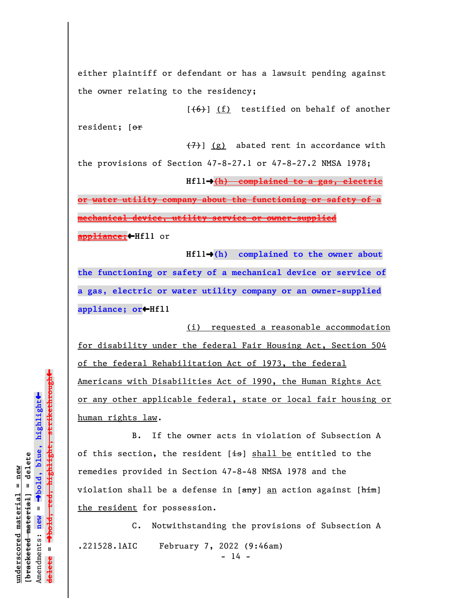either plaintiff or defendant or has a lawsuit pending against the owner relating to the residency;

 $[$ ( $(6)$ ) (f) testified on behalf of another resident; [or

 $(7)$ ] (g) abated rent in accordance with the provisions of Section 47-8-27.1 or 47-8-27.2 NMSA 1978;

**Hfl1**º**(h) complained to a gas, electric**

**or water utility company about the functioning or safety of a mechanical device, utility service or owner-supplied**

**appliance;**»**Hfl1** or

**Hfl1**º**(h) complained to the owner about the functioning or safety of a mechanical device or service of a gas, electric or water utility company or an owner-supplied appliance; or**»**Hfl1** 

(i) requested a reasonable accommodation for disability under the federal Fair Housing Act, Section 504 of the federal Rehabilitation Act of 1973, the federal Americans with Disabilities Act of 1990, the Human Rights Act or any other applicable federal, state or local fair housing or human rights law.

B. If the owner acts in violation of Subsection A of this section, the resident  $[i\text{--}s]$  shall be entitled to the remedies provided in Section 47-8-48 NMSA 1978 and the violation shall be a defense in [any] an action against [him] the resident for possession.

C. Notwithstanding the provisions of Subsection A .221528.1AIC February 7, 2022 (9:46am)  $- 14 -$ 

º**bold, red, highlight, strikethrough**  $\ddot{\bullet}$ º**bold, blue, highlight** bracketed material] = delete **[bracketed material] = delete** inderscored material = new **underscored material = new** Amendments: **new** = Amendments: new =  $\mathbf{u}$ **delete =** lelete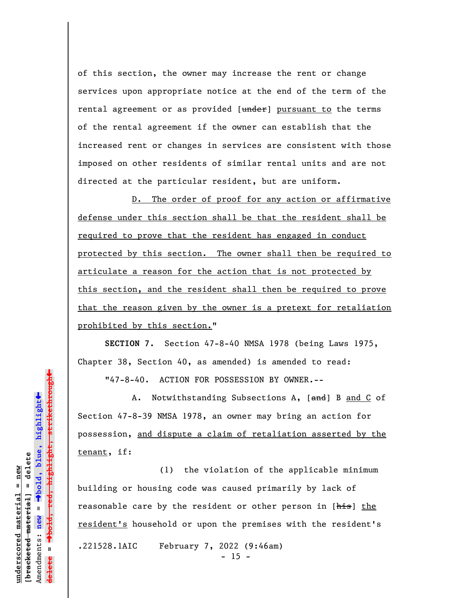of this section, the owner may increase the rent or change services upon appropriate notice at the end of the term of the rental agreement or as provided [under] pursuant to the terms of the rental agreement if the owner can establish that the increased rent or changes in services are consistent with those imposed on other residents of similar rental units and are not directed at the particular resident, but are uniform.

D. The order of proof for any action or affirmative defense under this section shall be that the resident shall be required to prove that the resident has engaged in conduct protected by this section. The owner shall then be required to articulate a reason for the action that is not protected by this section, and the resident shall then be required to prove that the reason given by the owner is a pretext for retaliation prohibited by this section."

**SECTION 7.** Section 47-8-40 NMSA 1978 (being Laws 1975, Chapter 38, Section 40, as amended) is amended to read:

"47-8-40. ACTION FOR POSSESSION BY OWNER.--

A. Notwithstanding Subsections A, [and] B and C of Section 47-8-39 NMSA 1978, an owner may bring an action for possession, and dispute a claim of retaliation asserted by the tenant, if:

(1) the violation of the applicable minimum building or housing code was caused primarily by lack of reasonable care by the resident or other person in [his] the resident's household or upon the premises with the resident's .221528.1AIC February 7, 2022 (9:46am)  $- 15 -$ 

bold, red, highlight, strikethrough º**bold, red, highlight, strikethrough**  $\ddot{\bullet}$ º**bold, blue, highlight** bracketed material] = delete **[bracketed material] = delete** inderscored material = new **underscored material = new** Amendments: **new** =  $\bar{\mathbf{u}}$ Amendments: new **delete =**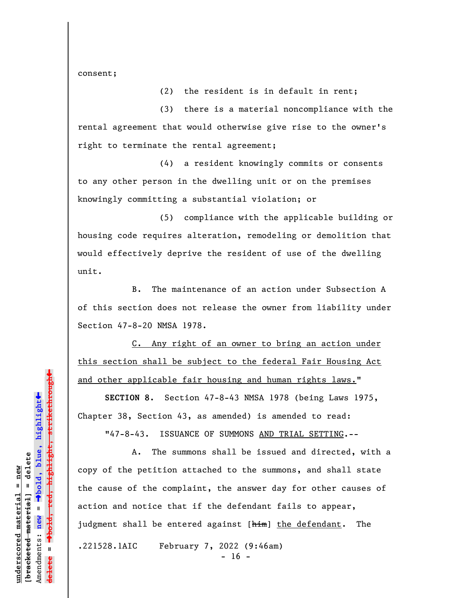consent;

(2) the resident is in default in rent;

(3) there is a material noncompliance with the rental agreement that would otherwise give rise to the owner's right to terminate the rental agreement;

(4) a resident knowingly commits or consents to any other person in the dwelling unit or on the premises knowingly committing a substantial violation; or

(5) compliance with the applicable building or housing code requires alteration, remodeling or demolition that would effectively deprive the resident of use of the dwelling unit.

B. The maintenance of an action under Subsection A of this section does not release the owner from liability under Section 47-8-20 NMSA 1978.

C. Any right of an owner to bring an action under this section shall be subject to the federal Fair Housing Act and other applicable fair housing and human rights laws."

**SECTION 8.** Section 47-8-43 NMSA 1978 (being Laws 1975, Chapter 38, Section 43, as amended) is amended to read:

"47-8-43. ISSUANCE OF SUMMONS AND TRIAL SETTING.--

A. The summons shall be issued and directed, with a copy of the petition attached to the summons, and shall state the cause of the complaint, the answer day for other causes of action and notice that if the defendant fails to appear, judgment shall be entered against [him] the defendant. The .221528.1AIC February 7, 2022 (9:46am)  $- 16 -$ 

º**bold, red, highlight, strikethrough**  $\ddot{\bullet}$ º**bold, blue, highlight** bracketed material] = delete **[bracketed material] = delete** inderscored material = new **underscored material = new** Amendments: **new** =  $\bar{\mathbf{u}}$ Amendments: new **delete =**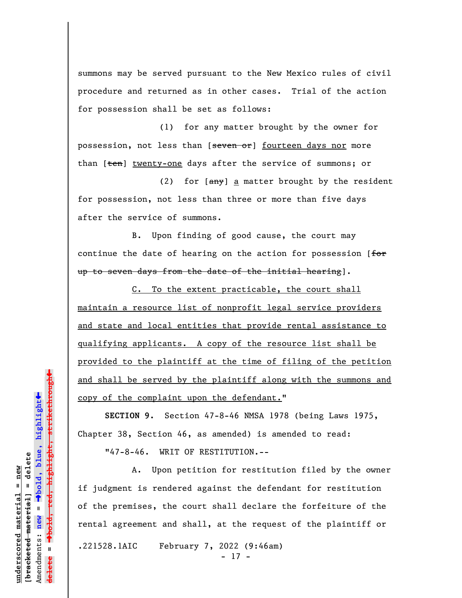summons may be served pursuant to the New Mexico rules of civil procedure and returned as in other cases. Trial of the action for possession shall be set as follows:

(1) for any matter brought by the owner for possession, not less than [seven or] fourteen days nor more than [ten] twenty-one days after the service of summons; or

(2) for  $\left[\frac{any}{2}\right]$  a matter brought by the resident for possession, not less than three or more than five days after the service of summons.

B. Upon finding of good cause, the court may continue the date of hearing on the action for possession [for up to seven days from the date of the initial hearing].

C. To the extent practicable, the court shall maintain a resource list of nonprofit legal service providers and state and local entities that provide rental assistance to qualifying applicants. A copy of the resource list shall be provided to the plaintiff at the time of filing of the petition and shall be served by the plaintiff along with the summons and copy of the complaint upon the defendant."

**SECTION 9.** Section 47-8-46 NMSA 1978 (being Laws 1975, Chapter 38, Section 46, as amended) is amended to read: "47-8-46. WRIT OF RESTITUTION.--

A. Upon petition for restitution filed by the owner if judgment is rendered against the defendant for restitution of the premises, the court shall declare the forfeiture of the rental agreement and shall, at the request of the plaintiff or .221528.1AIC February 7, 2022 (9:46am) - 17 -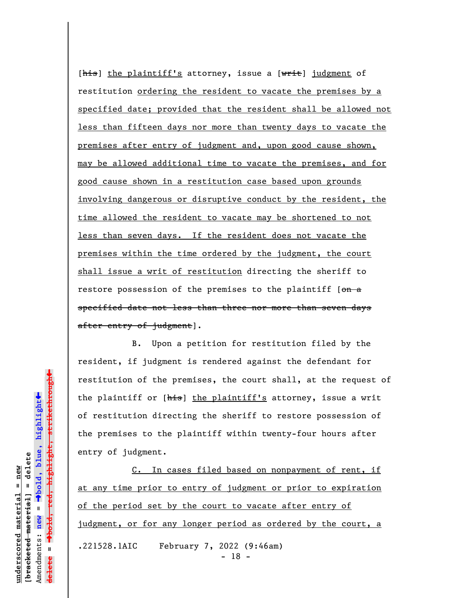[ $\frac{h}{h}$ ] the plaintiff's attorney, issue a [ $w$ rit] judgment of restitution ordering the resident to vacate the premises by a specified date; provided that the resident shall be allowed not less than fifteen days nor more than twenty days to vacate the premises after entry of judgment and, upon good cause shown, may be allowed additional time to vacate the premises, and for good cause shown in a restitution case based upon grounds involving dangerous or disruptive conduct by the resident, the time allowed the resident to vacate may be shortened to not less than seven days. If the resident does not vacate the premises within the time ordered by the judgment, the court shall issue a writ of restitution directing the sheriff to restore possession of the premises to the plaintiff  $[ $\Theta$  m - a]$ specified date not less than three nor more than seven days after entry of judgment].

B. Upon a petition for restitution filed by the resident, if judgment is rendered against the defendant for restitution of the premises, the court shall, at the request of the plaintiff or [his] the plaintiff's attorney, issue a writ of restitution directing the sheriff to restore possession of the premises to the plaintiff within twenty-four hours after entry of judgment.

C. In cases filed based on nonpayment of rent, if at any time prior to entry of judgment or prior to expiration of the period set by the court to vacate after entry of judgment, or for any longer period as ordered by the court, a .221528.1AIC February 7, 2022 (9:46am) - 18 -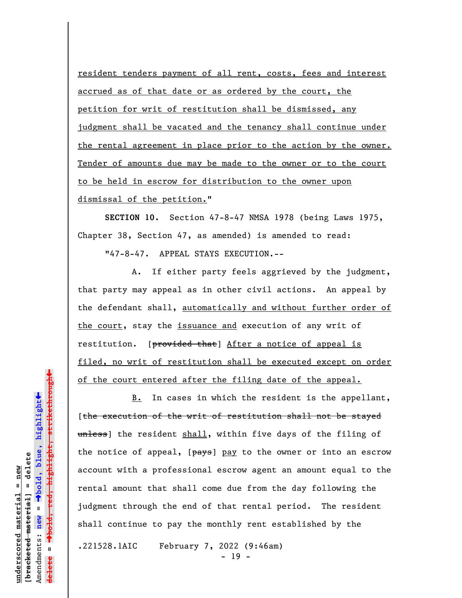resident tenders payment of all rent, costs, fees and interest accrued as of that date or as ordered by the court, the petition for writ of restitution shall be dismissed, any judgment shall be vacated and the tenancy shall continue under the rental agreement in place prior to the action by the owner. Tender of amounts due may be made to the owner or to the court to be held in escrow for distribution to the owner upon dismissal of the petition."

**SECTION 10.** Section 47-8-47 NMSA 1978 (being Laws 1975, Chapter 38, Section 47, as amended) is amended to read:

"47-8-47. APPEAL STAYS EXECUTION.--

A. If either party feels aggrieved by the judgment, that party may appeal as in other civil actions. An appeal by the defendant shall, automatically and without further order of the court, stay the issuance and execution of any writ of restitution. [provided that] After a notice of appeal is filed, no writ of restitution shall be executed except on order of the court entered after the filing date of the appeal.

B. In cases in which the resident is the appellant, [the execution of the writ of restitution shall not be stayed unless) the resident shall, within five days of the filing of the notice of appeal,  $[pays]$  pay to the owner or into an escrow account with a professional escrow agent an amount equal to the rental amount that shall come due from the day following the judgment through the end of that rental period. The resident shall continue to pay the monthly rent established by the .221528.1AIC February 7, 2022 (9:46am)

- 19 -

**underscored material = new [bracketed material] = delete**

bracketed material] = delete inderscored material = new

Amendments: **new** =

Amendments: new

 $\bar{\mathbf{u}}$ 

**delete =**

º**bold, blue, highlight**

º**bold, red, highlight, strikethrough**

 $\ddot{\bullet}$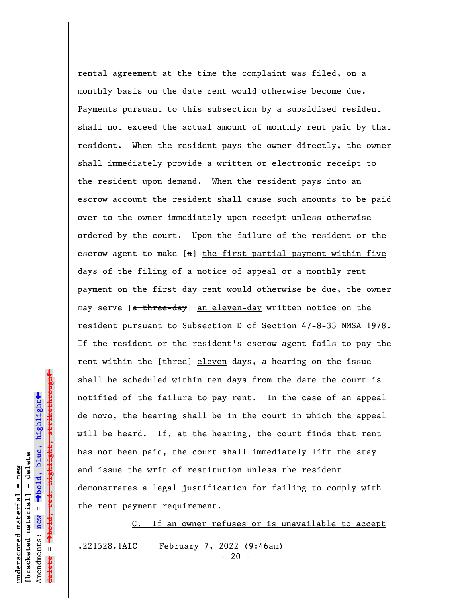rental agreement at the time the complaint was filed, on a monthly basis on the date rent would otherwise become due. Payments pursuant to this subsection by a subsidized resident shall not exceed the actual amount of monthly rent paid by that resident. When the resident pays the owner directly, the owner shall immediately provide a written or electronic receipt to the resident upon demand. When the resident pays into an escrow account the resident shall cause such amounts to be paid over to the owner immediately upon receipt unless otherwise ordered by the court. Upon the failure of the resident or the escrow agent to make [a] the first partial payment within five days of the filing of a notice of appeal or a monthly rent payment on the first day rent would otherwise be due, the owner may serve [a three-day] an eleven-day written notice on the resident pursuant to Subsection D of Section 47-8-33 NMSA 1978. If the resident or the resident's escrow agent fails to pay the rent within the [three] eleven days, a hearing on the issue shall be scheduled within ten days from the date the court is notified of the failure to pay rent. In the case of an appeal de novo, the hearing shall be in the court in which the appeal will be heard. If, at the hearing, the court finds that rent has not been paid, the court shall immediately lift the stay and issue the writ of restitution unless the resident demonstrates a legal justification for failing to comply with the rent payment requirement.

C. If an owner refuses or is unavailable to accept .221528.1AIC February 7, 2022 (9:46am)  $- 20 -$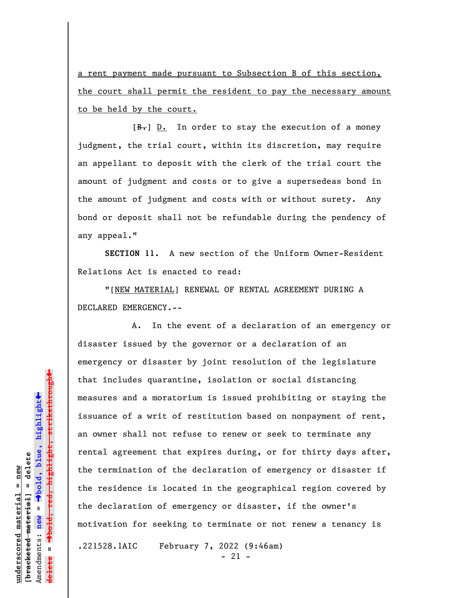a rent payment made pursuant to Subsection B of this section, the court shall permit the resident to pay the necessary amount to be held by the court.

 $[\frac{B-}{b}]$  D. In order to stay the execution of a money judgment, the trial court, within its discretion, may require an appellant to deposit with the clerk of the trial court the amount of judgment and costs or to give a supersedeas bond in the amount of judgment and costs with or without surety. Any bond or deposit shall not be refundable during the pendency of any appeal."

**SECTION 11.** A new section of the Uniform Owner-Resident Relations Act is enacted to read:

"[NEW MATERIAL] RENEWAL OF RENTAL AGREEMENT DURING A DECLARED EMERGENCY.--

A. In the event of a declaration of an emergency or disaster issued by the governor or a declaration of an emergency or disaster by joint resolution of the legislature that includes quarantine, isolation or social distancing measures and a moratorium is issued prohibiting or staying the issuance of a writ of restitution based on nonpayment of rent, an owner shall not refuse to renew or seek to terminate any rental agreement that expires during, or for thirty days after, the termination of the declaration of emergency or disaster if the residence is located in the geographical region covered by the declaration of emergency or disaster, if the owner's motivation for seeking to terminate or not renew a tenancy is

.221528.1AIC February 7, 2022 (9:46am)

- 21 -

 $\ddag$ º**bold, red, highlight, strikethrough**  $\ddot{\bullet}$ º**bold, blue, highlight** bracketed material] = delete **[bracketed material] = delete** inderscored material = new **underscored material = new** Amendments: **new** =  $\bar{\mathbf{u}}$ Amendments: new **delete =**